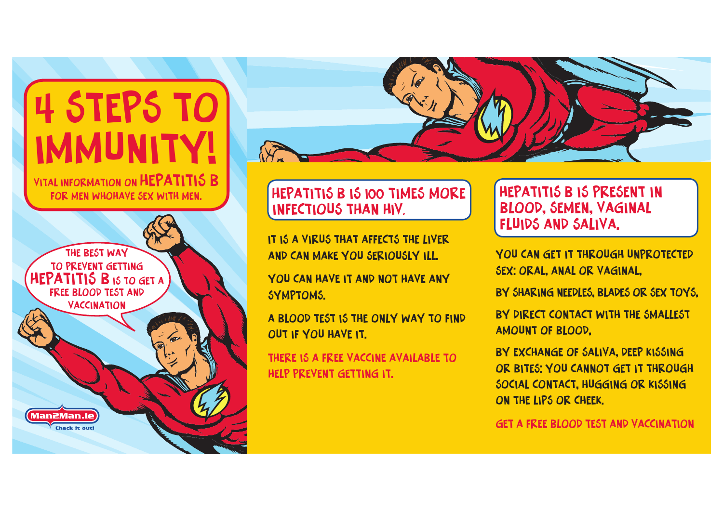



# infectious than HIV.

It is a virus that affects the liver and can make you seriously ill.

YOU CAN HAVE IT AND NOT HAVE ANY symptoms.

A blood test is the only way to find out if you have it.

There is a free vaccine available to help prevent getting it.

# Hepatitis B is present in blood, semen, vaginal fluids and saliva.

YOU CAN GET IT THROUGH UNPROTECTED sex: oral, anal or vaginal,

by sharing needles, blades or sex toys,

by direct contact with the smallest amount of blood,

by exchange of saliva, deep kissing or bites: you cannot get it through social contact, hugging or kissing on the lips or cheek.

get a free blood test and vaccination